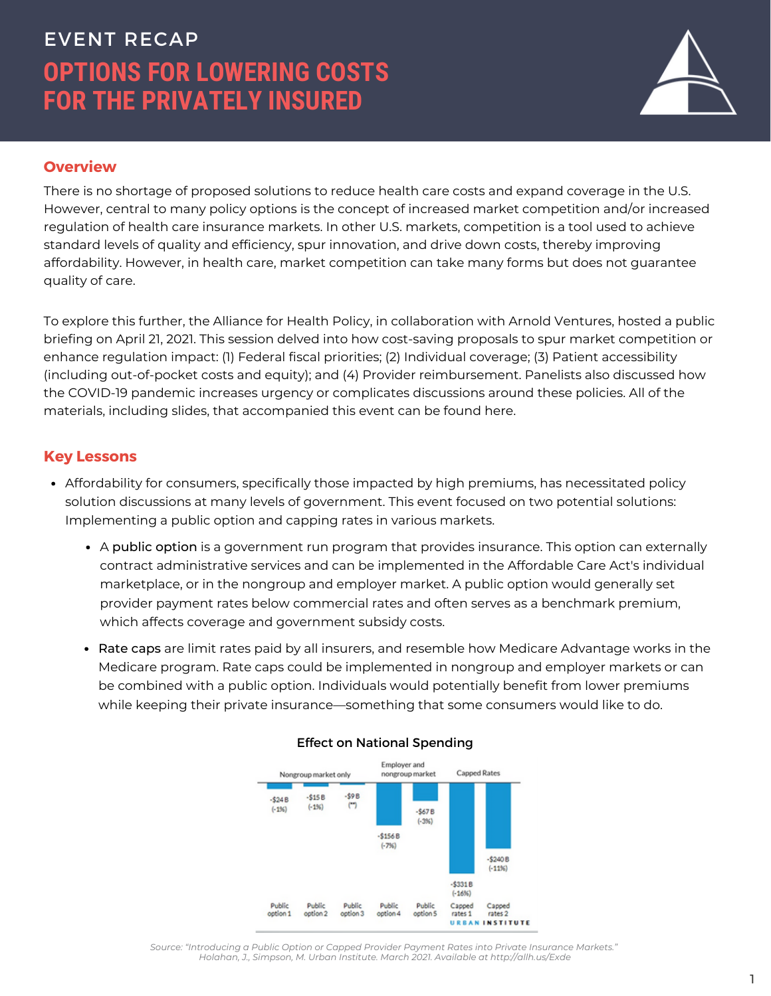# **OPTIONS FOR LOWERING COSTS FOR THE PRIVATELY INSURED** EVENT RECAP



# **Overview**

There is no shortage of proposed solutions to reduce health care costs and expand coverage in the U.S. However, central to many policy options is the concept of increased market competition and/or increased regulation of health care insurance markets. In other U.S. markets, competition is a tool used to achieve standard levels of quality and efficiency, spur innovation, and drive down costs, thereby improving affordability. However, in health care, market competition can take many forms but does not guarantee quality of care.

To explore this further, the Alliance for Health Policy, in collaboration with Arnold Ventures, hosted a public briefing on April 21, 2021. This session delved into how cost-saving proposals to spur market competition or enhance regulation impact: (1) Federal fiscal priorities; (2) Individual coverage; (3) Patient accessibility (including out-of-pocket costs and equity); and (4) Provider reimbursement. Panelists also discussed how the COVID-19 pandemic increases urgency or complicates discussions around these policies. All of the materials, including slides, that accompanied this event can be found here.

## **Key Lessons**

- Affordability for consumers, specifically those impacted by high premiums, has necessitated policy solution discussions at many levels of government. This event focused on two potential solutions: Implementing a public option and capping rates in various markets.
	- A public option is a government run program that provides insurance. This option can externally contract administrative services and can be implemented in the Affordable Care Act's individual marketplace, or in the nongroup and employer market. A public option would generally set provider payment rates below commercial rates and often serves as a benchmark premium, which affects coverage and government subsidy costs.
	- Rate caps are limit rates paid by all insurers, and resemble how Medicare Advantage works in the Medicare program. Rate caps could be implemented in nongroup and employer markets or can be combined with a public option. Individuals would potentially benefit from lower premiums while keeping their private insurance—something that some consumers would like to do.



#### Effect on National Spending

*Source: "Introducing a Public Option or Capped Provider Payment Rates into Private Insurance Markets." Holahan, J., Simpson, M. Urban Institute. March 2021. Available at <http://allh.us/Exde>*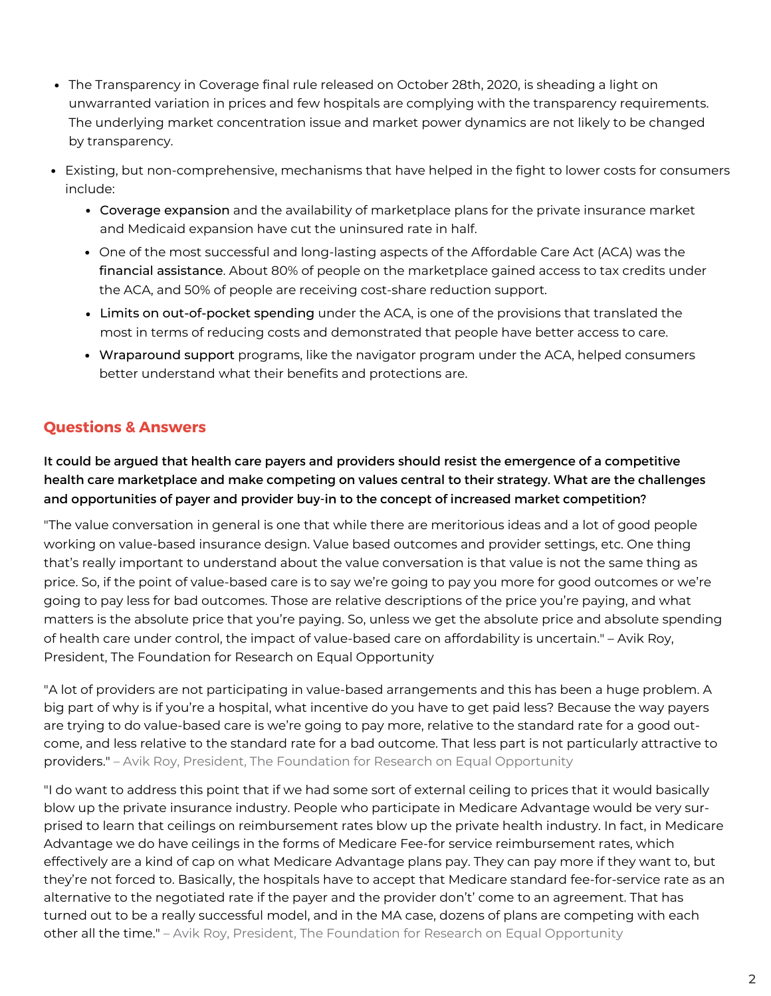- The Transparency in Coverage final rule released on October 28th, 2020, is sheading a light on unwarranted variation in prices and few hospitals are complying with the transparency requirements. The underlying market concentration issue and market power dynamics are not likely to be changed by transparency.
- Existing, but non-comprehensive, mechanisms that have helped in the fight to lower costs for consumers include:
	- Coverage expansion and the availability of marketplace plans for the private insurance market and Medicaid expansion have cut the uninsured rate in half.
	- One of the most successful and long-lasting aspects of the Affordable Care Act (ACA) was the financial assistance. About 80% of people on the marketplace gained access to tax credits under the ACA, and 50% of people are receiving cost-share reduction support.
	- Limits on out-of-pocket spending under the ACA, is one of the provisions that translated the most in terms of reducing costs and demonstrated that people have better access to care.
	- Wraparound support programs, like the [navigator](https://www.healthcare.gov/glossary/navigator/) program under the ACA, helped consumers better understand what their benefits and protections are.

# **Questions & Answers**

It could be argued that health care payers and providers should resist the emergence of a competitive health care marketplace and make competing on values central to their strategy. What are the challenges and opportunities of payer and provider buy-in to the concept of increased market competition?

"The value conversation in general is one that while there are meritorious ideas and a lot of good people working on value-based insurance design. Value based outcomes and provider settings, etc. One thing that's really important to understand about the value conversation is that value is not the same thing as price. So, if the point of value-based care is to say we're going to pay you more for good outcomes or we're going to pay less for bad outcomes. Those are relative descriptions of the price you're paying, and what matters is the absolute price that you're paying. So, unless we get the absolute price and absolute spending of health care under control, the impact of value-based care on affordability is uncertain." – Avik Roy, President, The Foundation for Research on Equal Opportunity

"A lot of providers are not participating in value-based arrangements and this has been a huge problem. A big part of why is if you're a hospital, what incentive do you have to get paid less? Because the way payers are trying to do value-based care is we're going to pay more, relative to the standard rate for a good outcome, and less relative to the standard rate for a bad outcome. That less part is not particularly attractive to providers." – Avik Roy, President, The Foundation for Research on Equal Opportunity

"I do want to address this point that if we had some sort of external ceiling to prices that it would basically blow up the private insurance industry. People who participate in Medicare Advantage would be very surprised to learn that ceilings on reimbursement rates blow up the private health industry. In fact, in Medicare Advantage we do have ceilings in the forms of Medicare Fee-for service reimbursement rates, which effectively are a kind of cap on what Medicare Advantage plans pay. They can pay more if they want to, but they're not forced to. Basically, the hospitals have to accept that Medicare standard fee-for-service rate as an alternative to the negotiated rate if the payer and the provider don't' come to an agreement. That has turned out to be a really successful model, and in the MA case, dozens of plans are competing with each other all the time." – Avik Roy, President, The Foundation for Research on Equal Opportunity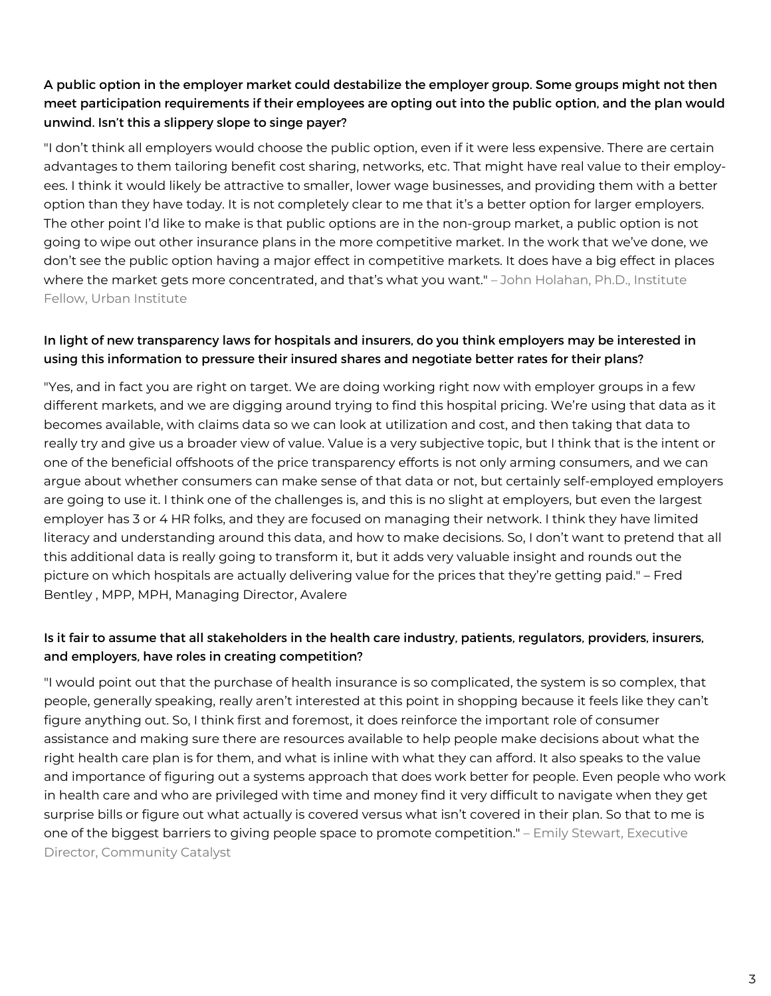## A public option in the employer market could destabilize the employer group. Some groups might not then meet participation requirements if their employees are opting out into the public option, and the plan would unwind. Isn't this a slippery slope to singe payer?

"I don't think all employers would choose the public option, even if it were less expensive. There are certain advantages to them tailoring benefit cost sharing, networks, etc. That might have real value to their employees. I think it would likely be attractive to smaller, lower wage businesses, and providing them with a better option than they have today. It is not completely clear to me that it's a better option for larger employers. The other point I'd like to make is that public options are in the non-group market, a public option is not going to wipe out other insurance plans in the more competitive market. In the work that we've done, we don't see the public option having a major effect in competitive markets. It does have a big effect in places where the market gets more concentrated, and that's what you want." – John Holahan, Ph.D., Institute Fellow, Urban Institute

#### In light of new transparency laws for hospitals and insurers, do you think employers may be interested in using this information to pressure their insured shares and negotiate better rates for their plans?

"Yes, and in fact you are right on target. We are doing working right now with employer groups in a few different markets, and we are digging around trying to find this hospital pricing. We're using that data as it becomes available, with claims data so we can look at utilization and cost, and then taking that data to really try and give us a broader view of value. Value is a very subjective topic, but I think that is the intent or one of the beneficial offshoots of the price transparency efforts is not only arming consumers, and we can argue about whether consumers can make sense of that data or not, but certainly self-employed employers are going to use it. I think one of the challenges is, and this is no slight at employers, but even the largest employer has 3 or 4 HR folks, and they are focused on managing their network. I think they have limited literacy and understanding around this data, and how to make decisions. So, I don't want to pretend that all this additional data is really going to transform it, but it adds very valuable insight and rounds out the picture on which hospitals are actually delivering value for the prices that they're getting paid." – Fred Bentley , MPP, MPH, Managing Director, Avalere

#### Is it fair to assume that all stakeholders in the health care industry, patients, regulators, providers, insurers, and employers, have roles in creating competition?

"I would point out that the purchase of health insurance is so complicated, the system is so complex, that people, generally speaking, really aren't interested at this point in shopping because it feels like they can't figure anything out. So, I think first and foremost, it does reinforce the important role of consumer assistance and making sure there are resources available to help people make decisions about what the right health care plan is for them, and what is inline with what they can afford. It also speaks to the value and importance of figuring out a systems approach that does work better for people. Even people who work in health care and who are privileged with time and money find it very difficult to navigate when they get surprise bills or figure out what actually is covered versus what isn't covered in their plan. So that to me is one of the biggest barriers to giving people space to promote competition." – Emily Stewart, Executive Director, Community Catalyst